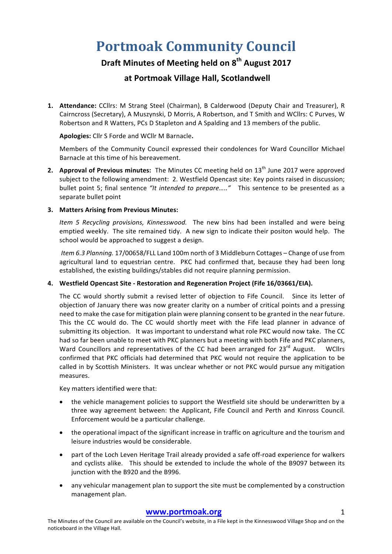# **Portmoak Community Council**

## **Draft Minutes of Meeting held on 8th August 2017**

### **at Portmoak Village Hall, Scotlandwell**

**1.** Attendance: CCllrs: M Strang Steel (Chairman), B Calderwood (Deputy Chair and Treasurer), R Cairncross (Secretary), A Muszynski, D Morris, A Robertson, and T Smith and WCllrs: C Purves, W Robertson and R Watters, PCs D Stapleton and A Spalding and 13 members of the public.

#### **Apologies:** Cllr S Forde and WCllr M Barnacle**.**

Members of the Community Council expressed their condolences for Ward Councillor Michael Barnacle at this time of his bereavement.

**2.** Approval of Previous minutes: The Minutes CC meeting held on 13<sup>th</sup> June 2017 were approved subject to the following amendment: 2. Westfield Opencast site: Key points raised in discussion; bullet point 5; final sentence "It intended to prepare....." This sentence to be presented as a separate bullet point

#### **3. Matters Arising from Previous Minutes:**

*Item 5 Recycling provisions, Kinnesswood.* The new bins had been installed and were being emptied weekly. The site remained tidy. A new sign to indicate their positon would help. The school would be approached to suggest a design.

*Item 6.3 Planning.* 17/00658/FLL Land 100m north of 3 Middleburn Cottages - Change of use from agricultural land to equestrian centre. PKC had confirmed that, because they had been long established, the existing buildings/stables did not require planning permission.

#### **4. Westfield Opencast Site - Restoration and Regeneration Project (Fife 16/03661/EIA).**

The CC would shortly submit a revised letter of objection to Fife Council. Since its letter of objection of January there was now greater clarity on a number of critical points and a pressing need to make the case for mitigation plain were planning consent to be granted in the near future. This the CC would do. The CC would shortly meet with the Fife lead planner in advance of submitting its objection. It was important to understand what role PKC would now take. The CC had so far been unable to meet with PKC planners but a meeting with both Fife and PKC planners, Ward Councillors and representatives of the CC had been arranged for 23<sup>rd</sup> August. WCllrs confirmed that PKC officials had determined that PKC would not require the application to be called in by Scottish Ministers. It was unclear whether or not PKC would pursue any mitigation measures. 

Key matters identified were that:

- the vehicle management policies to support the Westfield site should be underwritten by a three way agreement between: the Applicant, Fife Council and Perth and Kinross Council. Enforcement would be a particular challenge.
- the operational impact of the significant increase in traffic on agriculture and the tourism and leisure industries would be considerable.
- part of the Loch Leven Heritage Trail already provided a safe off-road experience for walkers and cyclists alike. This should be extended to include the whole of the B9097 between its junction with the B920 and the B996.
- any vehicular management plan to support the site must be complemented by a construction management plan.

#### **www.portmoak.org** 1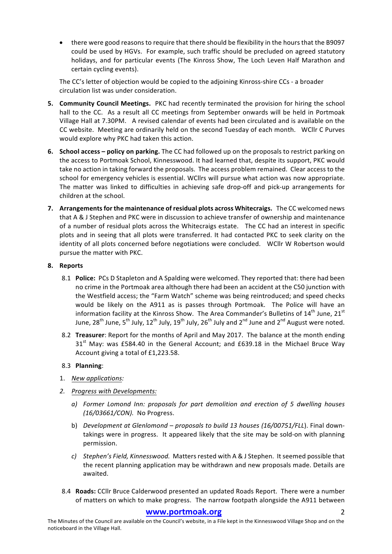there were good reasons to require that there should be flexibility in the hours that the B9097 could be used by HGVs. For example, such traffic should be precluded on agreed statutory holidays, and for particular events (The Kinross Show, The Loch Leven Half Marathon and certain cycling events).

The CC's letter of objection would be copied to the adjoining Kinross-shire CCs - a broader circulation list was under consideration.

- **5. Community Council Meetings.** PKC had recently terminated the provision for hiring the school hall to the CC. As a result all CC meetings from September onwards will be held in Portmoak Village Hall at 7.30PM. A revised calendar of events had been circulated and is available on the CC website. Meeting are ordinarily held on the second Tuesday of each month. WCllr C Purves would explore why PKC had taken this action.
- **6. School access policy on parking.** The CC had followed up on the proposals to restrict parking on the access to Portmoak School, Kinnesswood. It had learned that, despite its support, PKC would take no action in taking forward the proposals. The access problem remained. Clear access to the school for emergency vehicles is essential. WCllrs will pursue what action was now appropriate. The matter was linked to difficulties in achieving safe drop-off and pick-up arrangements for children at the school.
- **7.** Arrangements for the maintenance of residual plots across Whitecraigs. The CC welcomed news that A & J Stephen and PKC were in discussion to achieve transfer of ownership and maintenance of a number of residual plots across the Whitecraigs estate. The CC had an interest in specific plots and in seeing that all plots were transferred. It had contacted PKC to seek clarity on the identity of all plots concerned before negotiations were concluded. WCllr W Robertson would pursue the matter with PKC.

#### **8. Reports**

- 8.1 **Police:** PCs D Stapleton and A Spalding were welcomed. They reported that: there had been no crime in the Portmoak area although there had been an accident at the C50 junction with the Westfield access; the "Farm Watch" scheme was being reintroduced; and speed checks would be likely on the A911 as is passes through Portmoak. The Police will have an information facility at the Kinross Show. The Area Commander's Bulletins of  $14<sup>th</sup>$  June,  $21<sup>st</sup>$ June, 28<sup>th</sup> June, 5<sup>th</sup> July, 12<sup>th</sup> July, 19<sup>th</sup> July, 26<sup>th</sup> July and 2<sup>nd</sup> June and 2<sup>nd</sup> August were noted.
- 8.2 **Treasurer**: Report for the months of April and May 2017. The balance at the month ending  $31<sup>st</sup>$  May: was £584.40 in the General Account; and £639.18 in the Michael Bruce Way Account giving a total of £1,223.58.

#### 8.3 **Planning**:

- 1. *New applications:*
- *2. Progress with Developments:*
	- *a*) Former Lomond Inn: proposals for part demolition and erection of 5 dwelling houses *(16/03661/CON).* No Progress.
	- b) *Development at Glenlomond proposals to build 13 houses (16/00751/FLL).* Final downtakings were in progress. It appeared likely that the site may be sold-on with planning permission.
	- *c*) *Stephen's Field, Kinnesswood.* Matters rested with A & J Stephen. It seemed possible that the recent planning application may be withdrawn and new proposals made. Details are awaited.
- 8.4 **Roads:** CCllr Bruce Calderwood presented an updated Roads Report. There were a number of matters on which to make progress. The narrow footpath alongside the A911 between

#### **www.portmoak.org** 2